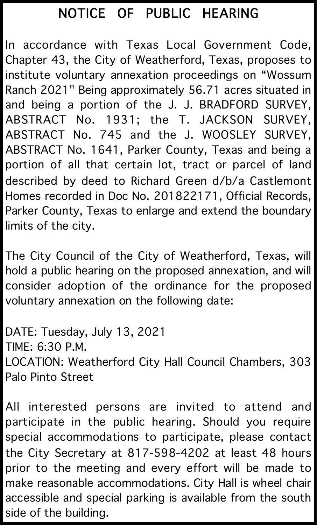## NOTICE OF PUBLIC HEARING

In accordance with Texas Local Government Code, Chapter 43, the City of Weatherford, Texas, proposes to institute voluntary annexation proceedings on "Wossum Ranch 2021" Being approximately 56.71 acres situated in and being a portion of the J. J. BRADFORD SURVEY, ABSTRACT No. 1931; the T. JACKSON SURVEY, ABSTRACT No. 745 and the J. WOOSLEY SURVEY, ABSTRACT No. 1641, Parker County, Texas and being a portion of all that certain lot, tract or parcel of land described by deed to Richard Green d/b/a Castlemont Homes recorded in Doc No. 201822171, Official Records, Parker County, Texas to enlarge and extend the boundary limits of the city.

The City Council of the City of Weatherford, Texas, will hold a public hearing on the proposed annexation, and will consider adoption of the ordinance for the proposed voluntary annexation on the following date:

DATE: Tuesday, July 13, 2021 TIME: 6:30 P.M. LOCATION: Weatherford City Hall Council Chambers, 303 Palo Pinto Street

All interested persons are invited to attend and participate in the public hearing. Should you require special accommodations to participate, please contact the City Secretary at 817-598-4202 at least 48 hours prior to the meeting and every effort will be made to make reasonable accommodations. City Hall is wheel chair accessible and special parking is available from the south side of the building.